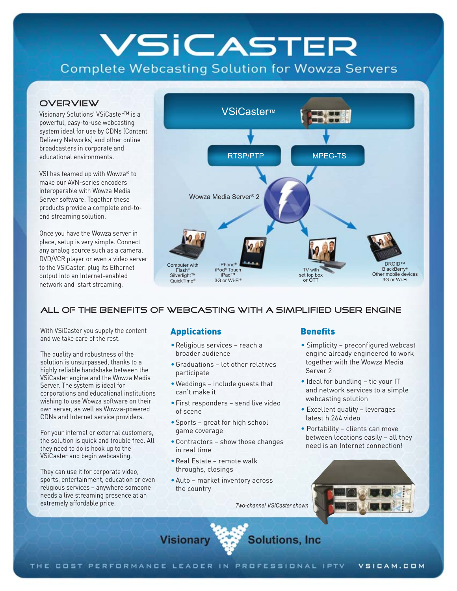# VSICASTER

**Complete Webcasting Solution for Wowza Servers** 

#### **OVERVIEW**

Visionary Solutions' VSiCaster™ is a powerful, easy-to-use webcasting system ideal for use by CDNs (Content Delivery Networks) and other online broadcasters in corporate and educational environments.

VSI has teamed up with Wowza® to make our AVN-series encoders interoperable with Wowza Media Server software. Together these products provide a complete end-toend streaming solution.

Once you have the Wowza server in place, setup is very simple. Connect any analog source such as a camera, DVD/VCR player or even a video server to the VSiCaster, plug its Ethernet output into an Internet-enabled network and start streaming.



#### All of the benefits of webcasting with a simplified user engine

With VSiCaster you supply the content and we take care of the rest.

The quality and robustness of the solution is unsurpassed, thanks to a highly reliable handshake between the VSiCaster engine and the Wowza Media Server. The system is ideal for corporations and educational institutions wishing to use Wowza software on their own server, as well as Wowza-powered CDNs and Internet service providers.

For your internal or external customers, the solution is quick and trouble free. All they need to do is hook up to the VSiCaster and begin webcasting.

They can use it for corporate video, sports, entertainment, education or even religious services – anywhere someone needs a live streaming presence at an extremely affordable price.

- Religious services reach a broader audience
- •Graduations let other relatives participate
- •Weddings include guests that can't make it
- •First responders send live video of scene
- •Sports great for high school game coverage
- •Contractors show those changes in real time
- •Real Estate remote walk throughs, closings

**Visionary** 

•Auto – market inventory across the country

*Two-channel VSiCaster show[n](http://vsicam.com/index.php?p=view_product&product_id=71)*

**Solutions, Inc.** 

#### **Benefits**

- Simplicity preconfigured webcast engine already engineered to work together with the Wowza Media Server 2
- Ideal for bundling tie your IT  and network services to a simple webcasting solution
- Excellent quality leverages latest h.264 video
- Portability clients can move between locations easily – all they need is an Internet connection!